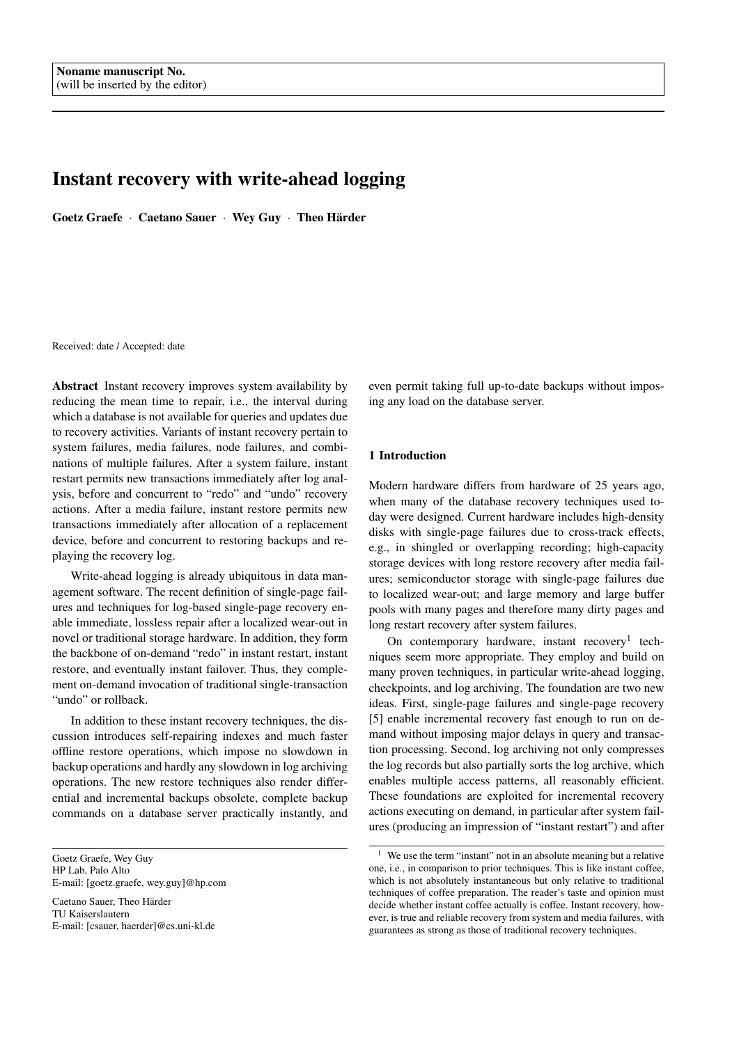# Instant recovery with write-ahead logging

Goetz Graefe · Caetano Sauer · Wey Guy · Theo Härder

Received: date / Accepted: date

Abstract Instant recovery improves system availability by reducing the mean time to repair, i.e., the interval during which a database is not available for queries and updates due to recovery activities. Variants of instant recovery pertain to system failures, media failures, node failures, and combinations of multiple failures. After a system failure, instant restart permits new transactions immediately after log analysis, before and concurrent to "redo" and "undo" recovery actions. After a media failure, instant restore permits new transactions immediately after allocation of a replacement device, before and concurrent to restoring backups and replaying the recovery log.

Write-ahead logging is already ubiquitous in data management software. The recent definition of single-page failures and techniques for log-based single-page recovery enable immediate, lossless repair after a localized wear-out in novel or traditional storage hardware. In addition, they form the backbone of on-demand "redo" in instant restart, instant restore, and eventually instant failover. Thus, they complement on-demand invocation of traditional single-transaction "undo" or rollback.

In addition to these instant recovery techniques, the discussion introduces self-repairing indexes and much faster offline restore operations, which impose no slowdown in backup operations and hardly any slowdown in log archiving operations. The new restore techniques also render differential and incremental backups obsolete, complete backup commands on a database server practically instantly, and

Goetz Graefe, Wey Guy HP Lab, Palo Alto E-mail: [goetz.graefe, wey.guy]@hp.com

Caetano Sauer, Theo Härder TU Kaiserslautern E-mail: [csauer, haerder]@cs.uni-kl.de even permit taking full up-to-date backups without imposing any load on the database server.

## 1 Introduction

Modern hardware differs from hardware of 25 years ago, when many of the database recovery techniques used today were designed. Current hardware includes high-density disks with single-page failures due to cross-track effects, e.g., in shingled or overlapping recording; high-capacity storage devices with long restore recovery after media failures; semiconductor storage with single-page failures due to localized wear-out; and large memory and large buffer pools with many pages and therefore many dirty pages and long restart recovery after system failures.

On contemporary hardware, instant  $recovery<sup>1</sup>$  techniques seem more appropriate. They employ and build on many proven techniques, in particular write-ahead logging, checkpoints, and log archiving. The foundation are two new ideas. First, single-page failures and single-page recovery [5] enable incremental recovery fast enough to run on demand without imposing major delays in query and transaction processing. Second, log archiving not only compresses the log records but also partially sorts the log archive, which enables multiple access patterns, all reasonably efficient. These foundations are exploited for incremental recovery actions executing on demand, in particular after system failures (producing an impression of "instant restart") and after

<sup>&</sup>lt;sup>1</sup> We use the term "instant" not in an absolute meaning but a relative one, i.e., in comparison to prior techniques. This is like instant coffee, which is not absolutely instantaneous but only relative to traditional techniques of coffee preparation. The reader's taste and opinion must decide whether instant coffee actually is coffee. Instant recovery, however, is true and reliable recovery from system and media failures, with guarantees as strong as those of traditional recovery techniques.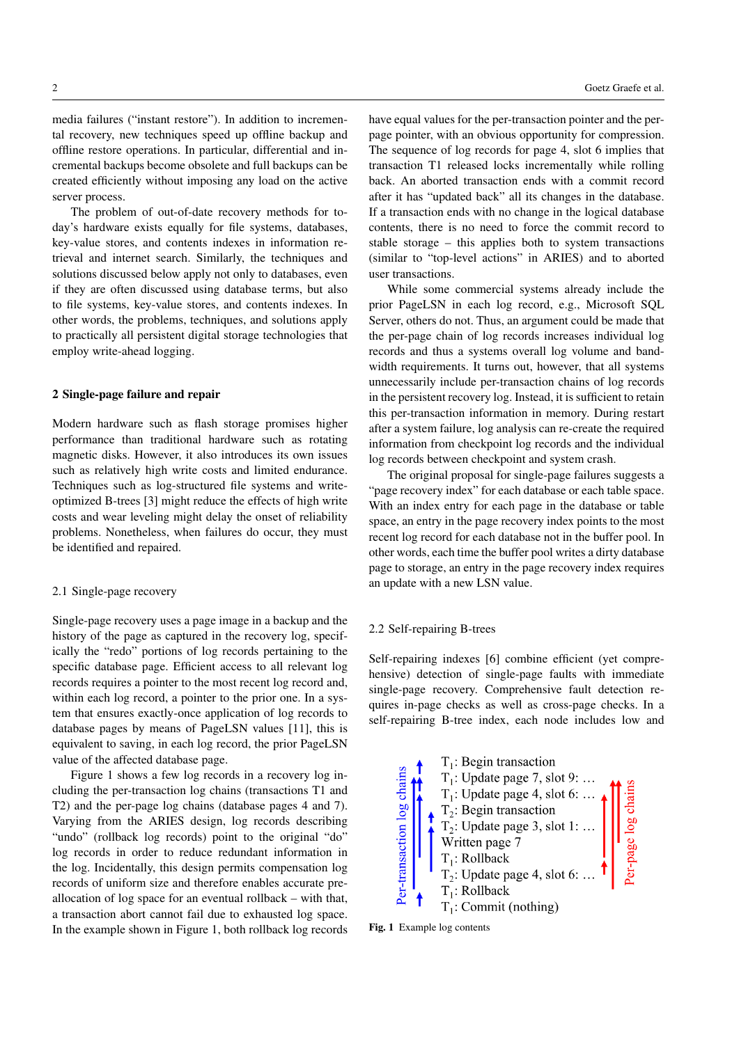media failures ("instant restore"). In addition to incremental recovery, new techniques speed up offline backup and offline restore operations. In particular, differential and incremental backups become obsolete and full backups can be created efficiently without imposing any load on the active server process.

The problem of out-of-date recovery methods for today's hardware exists equally for file systems, databases, key-value stores, and contents indexes in information retrieval and internet search. Similarly, the techniques and solutions discussed below apply not only to databases, even if they are often discussed using database terms, but also to file systems, key-value stores, and contents indexes. In other words, the problems, techniques, and solutions apply to practically all persistent digital storage technologies that employ write-ahead logging.

## 2 Single-page failure and repair

Modern hardware such as flash storage promises higher performance than traditional hardware such as rotating magnetic disks. However, it also introduces its own issues such as relatively high write costs and limited endurance. Techniques such as log-structured file systems and writeoptimized B-trees [3] might reduce the effects of high write costs and wear leveling might delay the onset of reliability problems. Nonetheless, when failures do occur, they must be identified and repaired.

## 2.1 Single-page recovery

Single-page recovery uses a page image in a backup and the history of the page as captured in the recovery log, specifically the "redo" portions of log records pertaining to the specific database page. Efficient access to all relevant log records requires a pointer to the most recent log record and, within each log record, a pointer to the prior one. In a system that ensures exactly-once application of log records to database pages by means of PageLSN values [11], this is equivalent to saving, in each log record, the prior PageLSN value of the affected database page.

Figure 1 shows a few log records in a recovery log including the per-transaction log chains (transactions T1 and T2) and the per-page log chains (database pages 4 and 7). Varying from the ARIES design, log records describing "undo" (rollback log records) point to the original "do" log records in order to reduce redundant information in the log. Incidentally, this design permits compensation log records of uniform size and therefore enables accurate preallocation of log space for an eventual rollback – with that, a transaction abort cannot fail due to exhausted log space. In the example shown in Figure 1, both rollback log records

have equal values for the per-transaction pointer and the perpage pointer, with an obvious opportunity for compression. The sequence of log records for page 4, slot 6 implies that transaction T1 released locks incrementally while rolling back. An aborted transaction ends with a commit record after it has "updated back" all its changes in the database. If a transaction ends with no change in the logical database contents, there is no need to force the commit record to stable storage – this applies both to system transactions (similar to "top-level actions" in ARIES) and to aborted user transactions.

While some commercial systems already include the prior PageLSN in each log record, e.g., Microsoft SQL Server, others do not. Thus, an argument could be made that the per-page chain of log records increases individual log records and thus a systems overall log volume and bandwidth requirements. It turns out, however, that all systems unnecessarily include per-transaction chains of log records in the persistent recovery log. Instead, it is sufficient to retain this per-transaction information in memory. During restart after a system failure, log analysis can re-create the required information from checkpoint log records and the individual log records between checkpoint and system crash.

The original proposal for single-page failures suggests a "page recovery index" for each database or each table space. With an index entry for each page in the database or table space, an entry in the page recovery index points to the most recent log record for each database not in the buffer pool. In other words, each time the buffer pool writes a dirty database page to storage, an entry in the page recovery index requires an update with a new LSN value.

## 2.2 Self-repairing B-trees

Self-repairing indexes [6] combine efficient (yet comprehensive) detection of single-page faults with immediate single-page recovery. Comprehensive fault detection requires in-page checks as well as cross-page checks. In a self-repairing B-tree index, each node includes low and



Fig. 1 Example log contents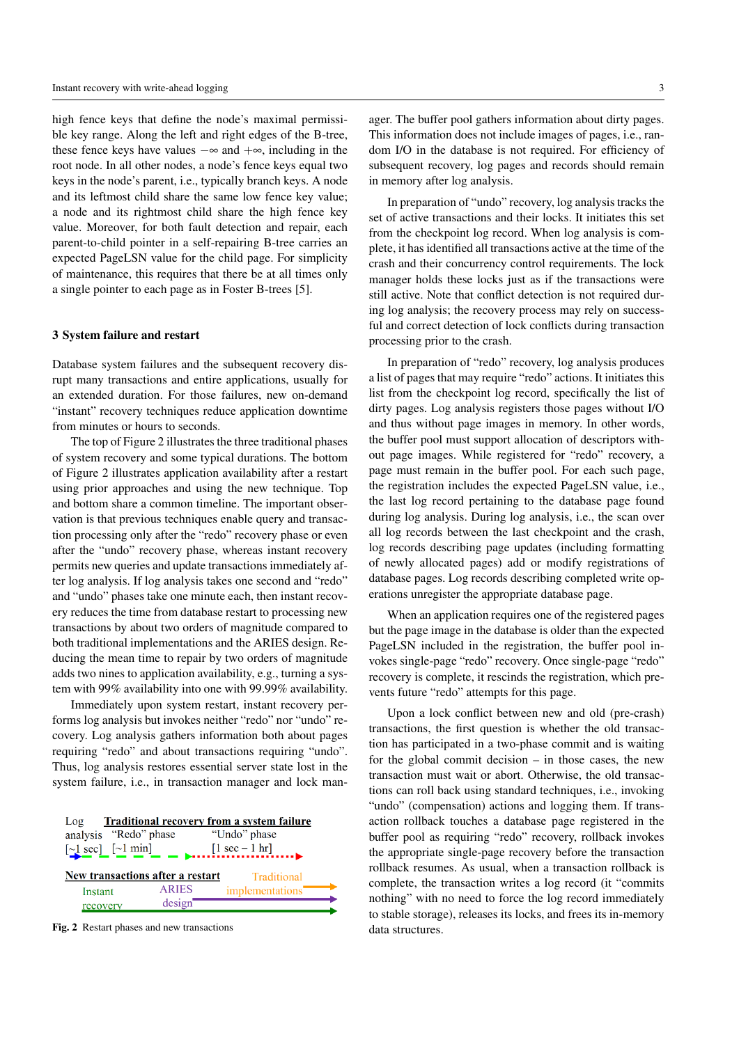high fence keys that define the node's maximal permissible key range. Along the left and right edges of the B-tree, these fence keys have values  $-\infty$  and  $+\infty$ , including in the root node. In all other nodes, a node's fence keys equal two keys in the node's parent, i.e., typically branch keys. A node and its leftmost child share the same low fence key value; a node and its rightmost child share the high fence key value. Moreover, for both fault detection and repair, each parent-to-child pointer in a self-repairing B-tree carries an expected PageLSN value for the child page. For simplicity of maintenance, this requires that there be at all times only a single pointer to each page as in Foster B-trees [5].

## 3 System failure and restart

Database system failures and the subsequent recovery disrupt many transactions and entire applications, usually for an extended duration. For those failures, new on-demand "instant" recovery techniques reduce application downtime from minutes or hours to seconds.

The top of Figure 2 illustrates the three traditional phases of system recovery and some typical durations. The bottom of Figure 2 illustrates application availability after a restart using prior approaches and using the new technique. Top and bottom share a common timeline. The important observation is that previous techniques enable query and transaction processing only after the "redo" recovery phase or even after the "undo" recovery phase, whereas instant recovery permits new queries and update transactions immediately after log analysis. If log analysis takes one second and "redo" and "undo" phases take one minute each, then instant recovery reduces the time from database restart to processing new transactions by about two orders of magnitude compared to both traditional implementations and the ARIES design. Reducing the mean time to repair by two orders of magnitude adds two nines to application availability, e.g., turning a system with 99% availability into one with 99.99% availability.

Immediately upon system restart, instant recovery performs log analysis but invokes neither "redo" nor "undo" recovery. Log analysis gathers information both about pages requiring "redo" and about transactions requiring "undo". Thus, log analysis restores essential server state lost in the system failure, i.e., in transaction manager and lock man-

| <b>Traditional recovery from a system failure</b><br>Log |                                  |                                                                                                             |  |
|----------------------------------------------------------|----------------------------------|-------------------------------------------------------------------------------------------------------------|--|
| analysis "Redo" phase                                    |                                  | "Undo" phase                                                                                                |  |
|                                                          |                                  | $\left[\sim\right]$ sec] $\left[\sim\right]$ min] $\sim$ $\sim$ $\left[1 \text{ sec} - 1 \text{ hr}\right]$ |  |
|                                                          |                                  |                                                                                                             |  |
|                                                          | New transactions after a restart | Traditional                                                                                                 |  |
| Instant                                                  | <b>ARIES</b>                     | implementations'                                                                                            |  |
| recovery                                                 | design                           |                                                                                                             |  |

Fig. 2 Restart phases and new transactions

ager. The buffer pool gathers information about dirty pages. This information does not include images of pages, i.e., random I/O in the database is not required. For efficiency of subsequent recovery, log pages and records should remain in memory after log analysis.

In preparation of "undo" recovery, log analysis tracks the set of active transactions and their locks. It initiates this set from the checkpoint log record. When log analysis is complete, it has identified all transactions active at the time of the crash and their concurrency control requirements. The lock manager holds these locks just as if the transactions were still active. Note that conflict detection is not required during log analysis; the recovery process may rely on successful and correct detection of lock conflicts during transaction processing prior to the crash.

In preparation of "redo" recovery, log analysis produces a list of pages that may require "redo" actions. It initiates this list from the checkpoint log record, specifically the list of dirty pages. Log analysis registers those pages without I/O and thus without page images in memory. In other words, the buffer pool must support allocation of descriptors without page images. While registered for "redo" recovery, a page must remain in the buffer pool. For each such page, the registration includes the expected PageLSN value, i.e., the last log record pertaining to the database page found during log analysis. During log analysis, i.e., the scan over all log records between the last checkpoint and the crash, log records describing page updates (including formatting of newly allocated pages) add or modify registrations of database pages. Log records describing completed write operations unregister the appropriate database page.

When an application requires one of the registered pages but the page image in the database is older than the expected PageLSN included in the registration, the buffer pool invokes single-page "redo" recovery. Once single-page "redo" recovery is complete, it rescinds the registration, which prevents future "redo" attempts for this page.

Upon a lock conflict between new and old (pre-crash) transactions, the first question is whether the old transaction has participated in a two-phase commit and is waiting for the global commit decision – in those cases, the new transaction must wait or abort. Otherwise, the old transactions can roll back using standard techniques, i.e., invoking "undo" (compensation) actions and logging them. If transaction rollback touches a database page registered in the buffer pool as requiring "redo" recovery, rollback invokes the appropriate single-page recovery before the transaction rollback resumes. As usual, when a transaction rollback is complete, the transaction writes a log record (it "commits nothing" with no need to force the log record immediately to stable storage), releases its locks, and frees its in-memory data structures.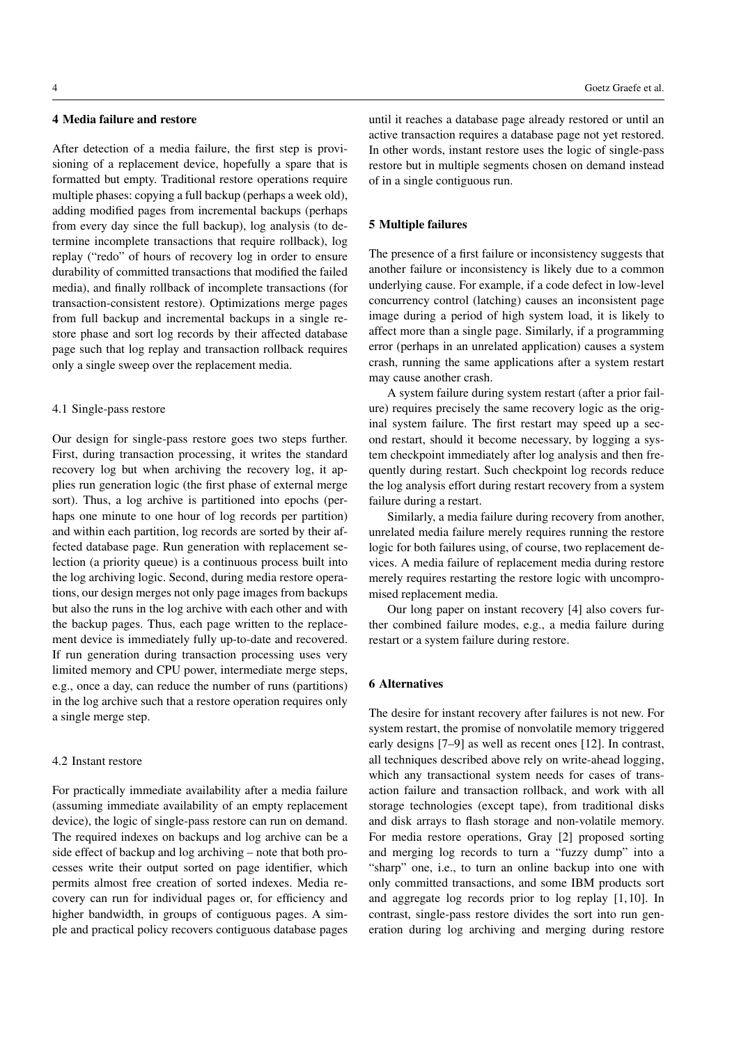# 4 Media failure and restore

After detection of a media failure, the first step is provisioning of a replacement device, hopefully a spare that is formatted but empty. Traditional restore operations require multiple phases: copying a full backup (perhaps a week old), adding modified pages from incremental backups (perhaps from every day since the full backup), log analysis (to determine incomplete transactions that require rollback), log replay ("redo" of hours of recovery log in order to ensure durability of committed transactions that modified the failed media), and finally rollback of incomplete transactions (for transaction-consistent restore). Optimizations merge pages from full backup and incremental backups in a single restore phase and sort log records by their affected database page such that log replay and transaction rollback requires only a single sweep over the replacement media.

#### 4.1 Single-pass restore

Our design for single-pass restore goes two steps further. First, during transaction processing, it writes the standard recovery log but when archiving the recovery log, it applies run generation logic (the first phase of external merge sort). Thus, a log archive is partitioned into epochs (perhaps one minute to one hour of log records per partition) and within each partition, log records are sorted by their affected database page. Run generation with replacement selection (a priority queue) is a continuous process built into the log archiving logic. Second, during media restore operations, our design merges not only page images from backups but also the runs in the log archive with each other and with the backup pages. Thus, each page written to the replacement device is immediately fully up-to-date and recovered. If run generation during transaction processing uses very limited memory and CPU power, intermediate merge steps, e.g., once a day, can reduce the number of runs (partitions) in the log archive such that a restore operation requires only a single merge step.

### 4.2 Instant restore

For practically immediate availability after a media failure (assuming immediate availability of an empty replacement device), the logic of single-pass restore can run on demand. The required indexes on backups and log archive can be a side effect of backup and log archiving – note that both processes write their output sorted on page identifier, which permits almost free creation of sorted indexes. Media recovery can run for individual pages or, for efficiency and higher bandwidth, in groups of contiguous pages. A simple and practical policy recovers contiguous database pages

until it reaches a database page already restored or until an active transaction requires a database page not yet restored. In other words, instant restore uses the logic of single-pass restore but in multiple segments chosen on demand instead of in a single contiguous run.

## 5 Multiple failures

The presence of a first failure or inconsistency suggests that another failure or inconsistency is likely due to a common underlying cause. For example, if a code defect in low-level concurrency control (latching) causes an inconsistent page image during a period of high system load, it is likely to affect more than a single page. Similarly, if a programming error (perhaps in an unrelated application) causes a system crash, running the same applications after a system restart may cause another crash.

A system failure during system restart (after a prior failure) requires precisely the same recovery logic as the original system failure. The first restart may speed up a second restart, should it become necessary, by logging a system checkpoint immediately after log analysis and then frequently during restart. Such checkpoint log records reduce the log analysis effort during restart recovery from a system failure during a restart.

Similarly, a media failure during recovery from another, unrelated media failure merely requires running the restore logic for both failures using, of course, two replacement devices. A media failure of replacement media during restore merely requires restarting the restore logic with uncompromised replacement media.

Our long paper on instant recovery [4] also covers further combined failure modes, e.g., a media failure during restart or a system failure during restore.

## 6 Alternatives

The desire for instant recovery after failures is not new. For system restart, the promise of nonvolatile memory triggered early designs [7–9] as well as recent ones [12]. In contrast, all techniques described above rely on write-ahead logging, which any transactional system needs for cases of transaction failure and transaction rollback, and work with all storage technologies (except tape), from traditional disks and disk arrays to flash storage and non-volatile memory. For media restore operations, Gray [2] proposed sorting and merging log records to turn a "fuzzy dump" into a "sharp" one, i.e., to turn an online backup into one with only committed transactions, and some IBM products sort and aggregate log records prior to log replay [1, 10]. In contrast, single-pass restore divides the sort into run generation during log archiving and merging during restore